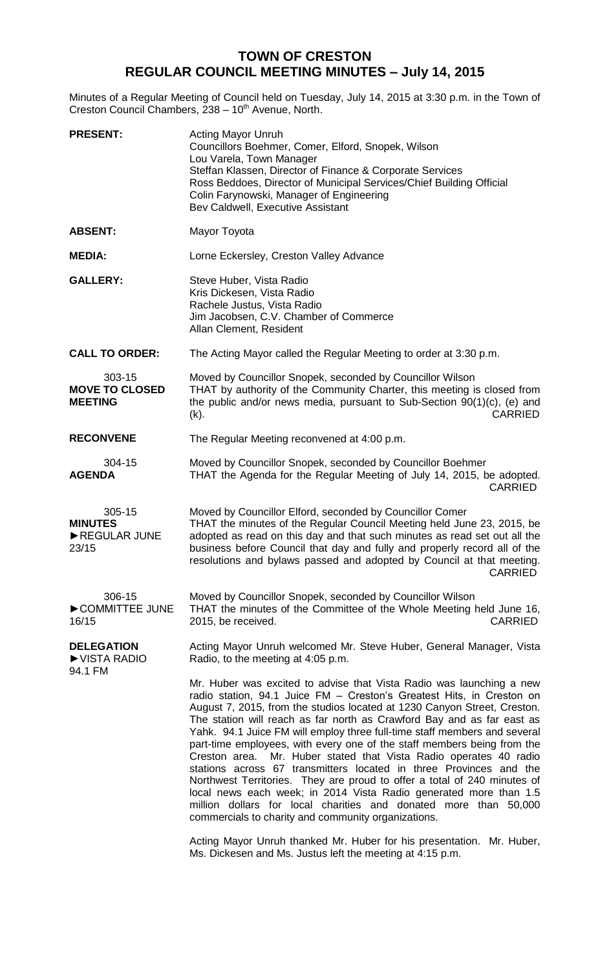## **TOWN OF CRESTON REGULAR COUNCIL MEETING MINUTES – July 14, 2015**

Minutes of a Regular Meeting of Council held on Tuesday, July 14, 2015 at 3:30 p.m. in the Town of Creston Council Chambers, 238 - 10<sup>th</sup> Avenue, North.

| <b>PRESENT:</b>                                   | <b>Acting Mayor Unruh</b><br>Councillors Boehmer, Comer, Elford, Snopek, Wilson<br>Lou Varela, Town Manager<br>Steffan Klassen, Director of Finance & Corporate Services<br>Ross Beddoes, Director of Municipal Services/Chief Building Official<br>Colin Farynowski, Manager of Engineering<br>Bev Caldwell, Executive Assistant                                                                                                                                                                                                                                                                                                                                                                                                                                                                                                                                                                                                                              |
|---------------------------------------------------|----------------------------------------------------------------------------------------------------------------------------------------------------------------------------------------------------------------------------------------------------------------------------------------------------------------------------------------------------------------------------------------------------------------------------------------------------------------------------------------------------------------------------------------------------------------------------------------------------------------------------------------------------------------------------------------------------------------------------------------------------------------------------------------------------------------------------------------------------------------------------------------------------------------------------------------------------------------|
| <b>ABSENT:</b>                                    | Mayor Toyota                                                                                                                                                                                                                                                                                                                                                                                                                                                                                                                                                                                                                                                                                                                                                                                                                                                                                                                                                   |
| <b>MEDIA:</b>                                     | Lorne Eckersley, Creston Valley Advance                                                                                                                                                                                                                                                                                                                                                                                                                                                                                                                                                                                                                                                                                                                                                                                                                                                                                                                        |
| <b>GALLERY:</b>                                   | Steve Huber, Vista Radio<br>Kris Dickesen, Vista Radio<br>Rachele Justus, Vista Radio<br>Jim Jacobsen, C.V. Chamber of Commerce<br>Allan Clement, Resident                                                                                                                                                                                                                                                                                                                                                                                                                                                                                                                                                                                                                                                                                                                                                                                                     |
| <b>CALL TO ORDER:</b>                             | The Acting Mayor called the Regular Meeting to order at 3:30 p.m.                                                                                                                                                                                                                                                                                                                                                                                                                                                                                                                                                                                                                                                                                                                                                                                                                                                                                              |
| 303-15<br><b>MOVE TO CLOSED</b><br><b>MEETING</b> | Moved by Councillor Snopek, seconded by Councillor Wilson<br>THAT by authority of the Community Charter, this meeting is closed from<br>the public and/or news media, pursuant to Sub-Section 90(1)(c), (e) and<br><b>CARRIED</b><br>(k).                                                                                                                                                                                                                                                                                                                                                                                                                                                                                                                                                                                                                                                                                                                      |
| <b>RECONVENE</b>                                  | The Regular Meeting reconvened at 4:00 p.m.                                                                                                                                                                                                                                                                                                                                                                                                                                                                                                                                                                                                                                                                                                                                                                                                                                                                                                                    |
| 304-15<br><b>AGENDA</b>                           | Moved by Councillor Snopek, seconded by Councillor Boehmer<br>THAT the Agenda for the Regular Meeting of July 14, 2015, be adopted.<br><b>CARRIED</b>                                                                                                                                                                                                                                                                                                                                                                                                                                                                                                                                                                                                                                                                                                                                                                                                          |
| 305-15<br><b>MINUTES</b><br>REGULAR JUNE<br>23/15 | Moved by Councillor Elford, seconded by Councillor Comer<br>THAT the minutes of the Regular Council Meeting held June 23, 2015, be<br>adopted as read on this day and that such minutes as read set out all the<br>business before Council that day and fully and properly record all of the<br>resolutions and bylaws passed and adopted by Council at that meeting.<br><b>CARRIED</b>                                                                                                                                                                                                                                                                                                                                                                                                                                                                                                                                                                        |
| 306-15<br>COMMITTEE JUNE<br>16/15                 | Moved by Councillor Snopek, seconded by Councillor Wilson<br>THAT the minutes of the Committee of the Whole Meeting held June 16,<br><b>CARRIED</b><br>2015, be received.                                                                                                                                                                                                                                                                                                                                                                                                                                                                                                                                                                                                                                                                                                                                                                                      |
| <b>DELEGATION</b><br>▶ VISTA RADIO<br>94.1 FM     | Acting Mayor Unruh welcomed Mr. Steve Huber, General Manager, Vista<br>Radio, to the meeting at 4:05 p.m.                                                                                                                                                                                                                                                                                                                                                                                                                                                                                                                                                                                                                                                                                                                                                                                                                                                      |
|                                                   | Mr. Huber was excited to advise that Vista Radio was launching a new<br>radio station, 94.1 Juice FM - Creston's Greatest Hits, in Creston on<br>August 7, 2015, from the studios located at 1230 Canyon Street, Creston.<br>The station will reach as far north as Crawford Bay and as far east as<br>Yahk. 94.1 Juice FM will employ three full-time staff members and several<br>part-time employees, with every one of the staff members being from the<br>Mr. Huber stated that Vista Radio operates 40 radio<br>Creston area.<br>stations across 67 transmitters located in three Provinces and the<br>Northwest Territories. They are proud to offer a total of 240 minutes of<br>local news each week; in 2014 Vista Radio generated more than 1.5<br>million dollars for local charities and donated more than 50,000<br>commercials to charity and community organizations.<br>Acting Mayor Unruh thanked Mr. Huber for his presentation. Mr. Huber, |
|                                                   | Ms. Dickesen and Ms. Justus left the meeting at 4:15 p.m.                                                                                                                                                                                                                                                                                                                                                                                                                                                                                                                                                                                                                                                                                                                                                                                                                                                                                                      |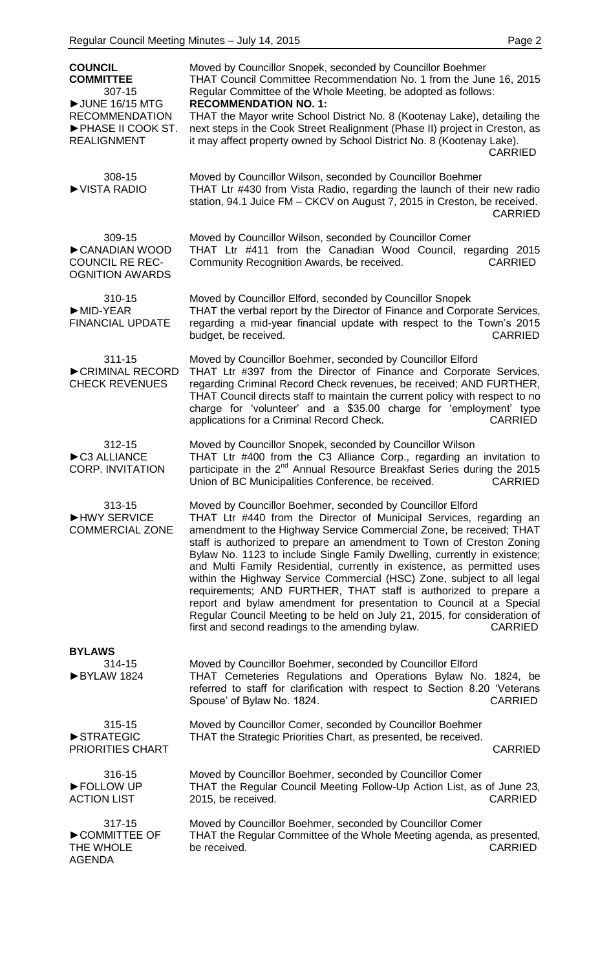| <b>COUNCIL</b><br><b>COMMITTEE</b><br>307-15                                      | Moved by Councillor Snopek, seconded by Councillor Boehmer<br>THAT Council Committee Recommendation No. 1 from the June 16, 2015<br>Regular Committee of the Whole Meeting, be adopted as follows:<br><b>RECOMMENDATION NO. 1:</b>                                                                                                                                                                                                                                                                                                                                                                                                                                                                                                                                                                                |
|-----------------------------------------------------------------------------------|-------------------------------------------------------------------------------------------------------------------------------------------------------------------------------------------------------------------------------------------------------------------------------------------------------------------------------------------------------------------------------------------------------------------------------------------------------------------------------------------------------------------------------------------------------------------------------------------------------------------------------------------------------------------------------------------------------------------------------------------------------------------------------------------------------------------|
| UNE 16/15 MTG<br><b>RECOMMENDATION</b><br>PHASE II COOK ST.<br><b>REALIGNMENT</b> | THAT the Mayor write School District No. 8 (Kootenay Lake), detailing the<br>next steps in the Cook Street Realignment (Phase II) project in Creston, as<br>it may affect property owned by School District No. 8 (Kootenay Lake).<br><b>CARRIED</b>                                                                                                                                                                                                                                                                                                                                                                                                                                                                                                                                                              |
| 308-15<br>▶ VISTA RADIO                                                           | Moved by Councillor Wilson, seconded by Councillor Boehmer<br>THAT Ltr #430 from Vista Radio, regarding the launch of their new radio<br>station, 94.1 Juice FM - CKCV on August 7, 2015 in Creston, be received.<br><b>CARRIED</b>                                                                                                                                                                                                                                                                                                                                                                                                                                                                                                                                                                               |
| 309-15<br>CANADIAN WOOD<br><b>COUNCIL RE REC-</b><br><b>OGNITION AWARDS</b>       | Moved by Councillor Wilson, seconded by Councillor Comer<br>THAT Ltr #411 from the Canadian Wood Council, regarding 2015<br>Community Recognition Awards, be received.<br><b>CARRIED</b>                                                                                                                                                                                                                                                                                                                                                                                                                                                                                                                                                                                                                          |
| 310-15<br>$\blacktriangleright$ MID-YEAR<br><b>FINANCIAL UPDATE</b>               | Moved by Councillor Elford, seconded by Councillor Snopek<br>THAT the verbal report by the Director of Finance and Corporate Services,<br>regarding a mid-year financial update with respect to the Town's 2015<br>budget, be received.<br><b>CARRIED</b>                                                                                                                                                                                                                                                                                                                                                                                                                                                                                                                                                         |
| 311-15<br>CRIMINAL RECORD<br><b>CHECK REVENUES</b>                                | Moved by Councillor Boehmer, seconded by Councillor Elford<br>THAT Ltr #397 from the Director of Finance and Corporate Services,<br>regarding Criminal Record Check revenues, be received; AND FURTHER,<br>THAT Council directs staff to maintain the current policy with respect to no<br>charge for 'volunteer' and a \$35.00 charge for 'employment' type<br>applications for a Criminal Record Check.<br><b>CARRIED</b>                                                                                                                                                                                                                                                                                                                                                                                       |
| 312-15<br>C3 ALLIANCE<br><b>CORP. INVITATION</b>                                  | Moved by Councillor Snopek, seconded by Councillor Wilson<br>THAT Ltr #400 from the C3 Alliance Corp., regarding an invitation to<br>participate in the 2 <sup>nd</sup> Annual Resource Breakfast Series during the 2015<br>Union of BC Municipalities Conference, be received.<br><b>CARRIED</b>                                                                                                                                                                                                                                                                                                                                                                                                                                                                                                                 |
| 313-15<br>HWY SERVICE<br><b>COMMERCIAL ZONE</b>                                   | Moved by Councillor Boehmer, seconded by Councillor Elford<br>THAT Ltr #440 from the Director of Municipal Services, regarding an<br>amendment to the Highway Service Commercial Zone, be received; THAT<br>staff is authorized to prepare an amendment to Town of Creston Zoning<br>Bylaw No. 1123 to include Single Family Dwelling, currently in existence;<br>and Multi Family Residential, currently in existence, as permitted uses<br>within the Highway Service Commercial (HSC) Zone, subject to all legal<br>requirements; AND FURTHER, THAT staff is authorized to prepare a<br>report and bylaw amendment for presentation to Council at a Special<br>Regular Council Meeting to be held on July 21, 2015, for consideration of<br>first and second readings to the amending bylaw.<br><b>CARRIED</b> |
| <b>BYLAWS</b><br>314-15                                                           | Moved by Councillor Boehmer, seconded by Councillor Elford                                                                                                                                                                                                                                                                                                                                                                                                                                                                                                                                                                                                                                                                                                                                                        |
| BYLAW 1824                                                                        | THAT Cemeteries Regulations and Operations Bylaw No. 1824, be<br>referred to staff for clarification with respect to Section 8.20 'Veterans<br>Spouse' of Bylaw No. 1824.<br><b>CARRIED</b>                                                                                                                                                                                                                                                                                                                                                                                                                                                                                                                                                                                                                       |
| 315-15<br>STRATEGIC<br><b>PRIORITIES CHART</b>                                    | Moved by Councillor Comer, seconded by Councillor Boehmer<br>THAT the Strategic Priorities Chart, as presented, be received.<br><b>CARRIED</b>                                                                                                                                                                                                                                                                                                                                                                                                                                                                                                                                                                                                                                                                    |
| 316-15<br>FOLLOW UP<br><b>ACTION LIST</b>                                         | Moved by Councillor Boehmer, seconded by Councillor Comer<br>THAT the Regular Council Meeting Follow-Up Action List, as of June 23,<br>2015, be received.<br><b>CARRIED</b>                                                                                                                                                                                                                                                                                                                                                                                                                                                                                                                                                                                                                                       |
| 317-15<br>COMMITTEE OF<br>THE WHOLE<br><b>AGENDA</b>                              | Moved by Councillor Boehmer, seconded by Councillor Comer<br>THAT the Regular Committee of the Whole Meeting agenda, as presented,<br>be received.<br><b>CARRIED</b>                                                                                                                                                                                                                                                                                                                                                                                                                                                                                                                                                                                                                                              |